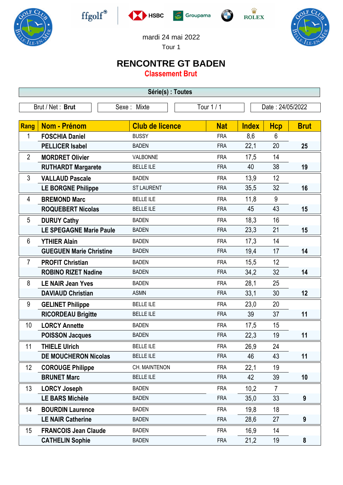











mardi 24 mai 2022

Tour 1

## **RENCONTRE GT BADEN**

**Classement Brut**

| Série(s) : Toutes |                                |                        |            |              |                  |             |  |  |  |  |
|-------------------|--------------------------------|------------------------|------------|--------------|------------------|-------------|--|--|--|--|
| Brut / Net: Brut  |                                | Sexe: Mixte            | Tour 1 / 1 |              | Date: 24/05/2022 |             |  |  |  |  |
|                   |                                |                        |            |              |                  |             |  |  |  |  |
| <b>Rang</b>       | Nom - Prénom                   | <b>Club de licence</b> | <b>Nat</b> | <b>Index</b> | <b>Hcp</b>       | <b>Brut</b> |  |  |  |  |
| 1                 | <b>FOSCHIA Daniel</b>          | <b>BUSSY</b>           | <b>FRA</b> | 8,6          | 6                |             |  |  |  |  |
|                   | <b>PELLICER Isabel</b>         | <b>BADEN</b>           | <b>FRA</b> | 22,1         | 20               | 25          |  |  |  |  |
| $\overline{2}$    | <b>MORDRET Olivier</b>         | VALBONNE               | <b>FRA</b> | 17,5         | 14               |             |  |  |  |  |
|                   | <b>RUTHARDT Margarete</b>      | <b>BELLE ILE</b>       | <b>FRA</b> | 40           | 38               | 19          |  |  |  |  |
| 3                 | <b>VALLAUD Pascale</b>         | <b>BADEN</b>           | <b>FRA</b> | 13,9         | 12               |             |  |  |  |  |
|                   | <b>LE BORGNE Philippe</b>      | <b>ST LAURENT</b>      | <b>FRA</b> | 35,5         | 32               | 16          |  |  |  |  |
| 4                 | <b>BREMOND Marc</b>            | <b>BELLE ILE</b>       | <b>FRA</b> | 11,8         | 9                |             |  |  |  |  |
|                   | <b>ROQUEBERT Nicolas</b>       | <b>BELLE ILE</b>       | <b>FRA</b> | 45           | 43               | 15          |  |  |  |  |
| 5                 | <b>DURUY Cathy</b>             | <b>BADEN</b>           | <b>FRA</b> | 18,3         | 16               |             |  |  |  |  |
|                   | <b>LE SPEGAGNE Marie Paule</b> | <b>BADEN</b>           | <b>FRA</b> | 23,3         | 21               | 15          |  |  |  |  |
| 6                 | <b>YTHIER Alain</b>            | <b>BADEN</b>           | <b>FRA</b> | 17,3         | 14               |             |  |  |  |  |
|                   | <b>GUEGUEN Marie Christine</b> | <b>BADEN</b>           | <b>FRA</b> | 19,4         | 17               | 14          |  |  |  |  |
| $\overline{7}$    | <b>PROFIT Christian</b>        | <b>BADEN</b>           | <b>FRA</b> | 15,5         | 12               |             |  |  |  |  |
|                   | <b>ROBINO RIZET Nadine</b>     | <b>BADEN</b>           | <b>FRA</b> | 34,2         | 32               | 14          |  |  |  |  |
| 8                 | <b>LE NAIR Jean Yves</b>       | <b>BADEN</b>           | <b>FRA</b> | 28,1         | 25               |             |  |  |  |  |
|                   | <b>DAVIAUD Christian</b>       | <b>ASMN</b>            | <b>FRA</b> | 33,1         | 30               | 12          |  |  |  |  |
| 9                 | <b>GELINET Philippe</b>        | <b>BELLE ILE</b>       | <b>FRA</b> | 23,0         | 20               |             |  |  |  |  |
|                   | <b>RICORDEAU Brigitte</b>      | <b>BELLE ILE</b>       | <b>FRA</b> | 39           | 37               | 11          |  |  |  |  |
| 10                | <b>LORCY Annette</b>           | <b>BADEN</b>           | <b>FRA</b> | 17,5         | 15               |             |  |  |  |  |
|                   | <b>POISSON Jacques</b>         | <b>BADEN</b>           | <b>FRA</b> | 22,3         | 19               | 11          |  |  |  |  |
| 11                | <b>THIELE Ulrich</b>           | <b>BELLE ILE</b>       | <b>FRA</b> | 26,9         | 24               |             |  |  |  |  |
|                   | <b>DE MOUCHERON Nicolas</b>    | <b>BELLE ILE</b>       | <b>FRA</b> | 46           | 43               | 11          |  |  |  |  |
| $12 \,$           | <b>COROUGE Philippe</b>        | CH. MAINTENON          | <b>FRA</b> | 22,1         | 19               |             |  |  |  |  |
|                   | <b>BRUNET Marc</b>             | <b>BELLE ILE</b>       | <b>FRA</b> | 42           | 39               | 10          |  |  |  |  |
| 13                | <b>LORCY Joseph</b>            | <b>BADEN</b>           | <b>FRA</b> | 10,2         | $\overline{7}$   |             |  |  |  |  |
|                   | <b>LE BARS Michèle</b>         | <b>BADEN</b>           | <b>FRA</b> | 35,0         | 33               | 9           |  |  |  |  |
| 14                | <b>BOURDIN Laurence</b>        | <b>BADEN</b>           | <b>FRA</b> | 19,8         | 18               |             |  |  |  |  |
|                   | <b>LE NAIR Catherine</b>       | <b>BADEN</b>           | <b>FRA</b> | 28,6         | 27               | 9           |  |  |  |  |
| 15                | <b>FRANCOIS Jean Claude</b>    | <b>BADEN</b>           | <b>FRA</b> | 16,9         | 14               |             |  |  |  |  |
|                   | <b>CATHELIN Sophie</b>         | <b>BADEN</b>           | <b>FRA</b> | 21,2         | 19               | 8           |  |  |  |  |
|                   |                                |                        |            |              |                  |             |  |  |  |  |